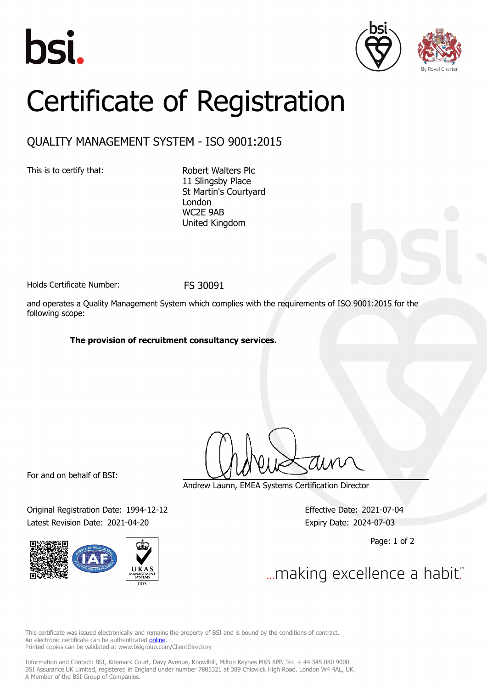





## Certificate of Registration

## QUALITY MANAGEMENT SYSTEM - ISO 9001:2015

This is to certify that: Robert Walters Plc

11 Slingsby Place St Martin's Courtyard London WC2E 9AB United Kingdom

Holds Certificate Number: FS 30091

and operates a Quality Management System which complies with the requirements of ISO 9001:2015 for the following scope:

## **The provision of recruitment consultancy services.**

For and on behalf of BSI:

Original Registration Date: 1994-12-12 Effective Date: 2021-07-04 Latest Revision Date: 2021-04-20 Expiry Date: 2024-07-03



Andrew Launn, EMEA Systems Certification Director

Page: 1 of 2

... making excellence a habit."

This certificate was issued electronically and remains the property of BSI and is bound by the conditions of contract. An electronic certificate can be authenticated **[online](https://pgplus.bsigroup.com/CertificateValidation/CertificateValidator.aspx?CertificateNumber=FS+30091&ReIssueDate=20%2f04%2f2021&Template=uk)**. Printed copies can be validated at www.bsigroup.com/ClientDirectory

Information and Contact: BSI, Kitemark Court, Davy Avenue, Knowlhill, Milton Keynes MK5 8PP. Tel: + 44 345 080 9000 BSI Assurance UK Limited, registered in England under number 7805321 at 389 Chiswick High Road, London W4 4AL, UK. A Member of the BSI Group of Companies.